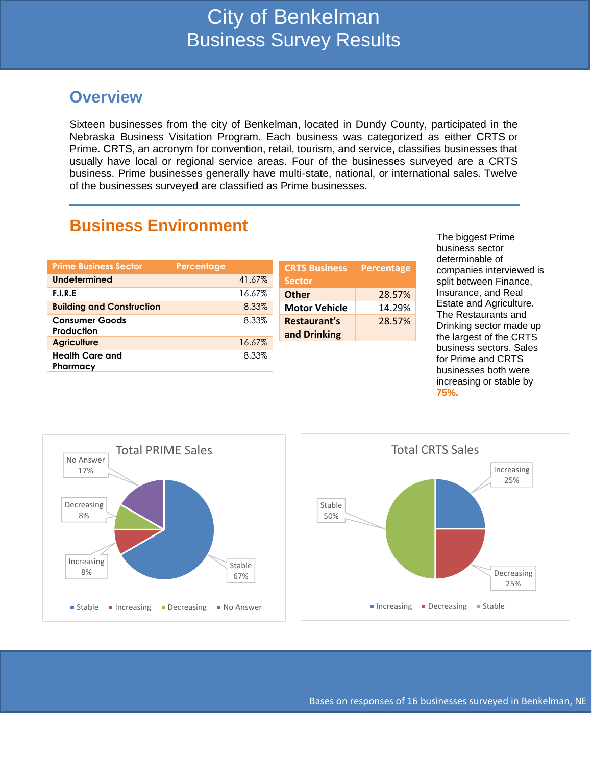### **Overview**

Sixteen businesses from the city of Benkelman, located in Dundy County, participated in the Nebraska Business Visitation Program. Each business was categorized as either CRTS or Prime. CRTS, an acronym for convention, retail, tourism, and service, classifies businesses that usually have local or regional service areas. Four of the businesses surveyed are a CRTS business. Prime businesses generally have multi-state, national, or international sales. Twelve of the businesses surveyed are classified as Prime businesses.

### **Business Environment**

| <b>Prime Business Sector</b>     | Percentage | <b>CRTS Business</b> |
|----------------------------------|------------|----------------------|
| <b>Undetermined</b>              | 41.67%     | <b>Sector</b>        |
| F.I.R.E                          | 16.67%     | <b>Other</b>         |
| <b>Building and Construction</b> | 8.33%      | <b>Motor Vehicle</b> |
| <b>Consumer Goods</b>            | 8.33%      | Restaurant's         |
| Production                       |            | and Drinking         |
| <b>Agriculture</b>               | 16.67%     |                      |
| <b>Health Care and</b>           | 8.33%      |                      |
| Pharmacy                         |            |                      |

The biggest Prime business sector determinable of companies interviewed is split between Finance, Insurance, and Real Estate and Agriculture. The Restaurants and Drinking sector made up the largest of the CRTS business sectors. Sales for Prime and CRTS businesses both were increasing or stable by **75%.**





**Percentage**

**Other** 28.57% **Motor Vehicle** 14.29%

28.57%

Bases on responses of 16 businesses surveyed in Benkelman, NE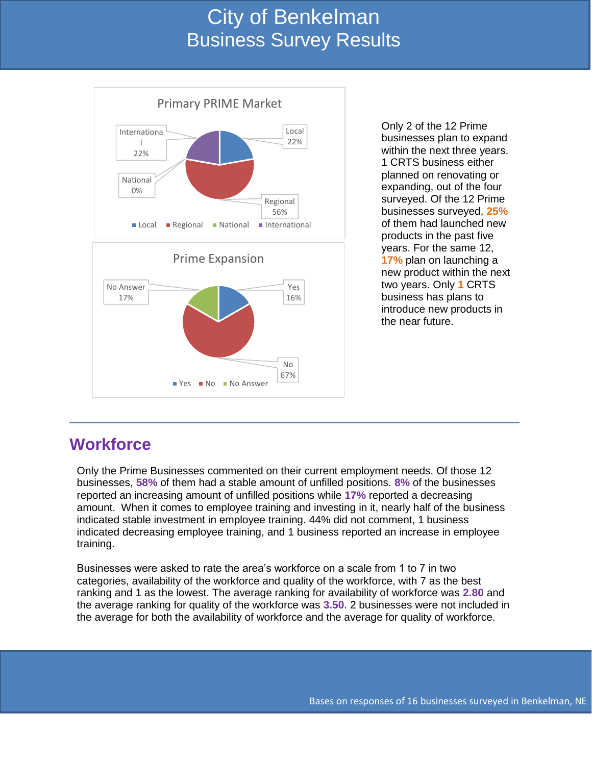# City of Benkelman Business Survey Results



Only 2 of the 12 Prime businesses plan to expand within the next three years. 1 CRTS business either planned on renovating or expanding, out of the four surveyed. Of the 12 Prime businesses surveyed, **25%** of them had launched new products in the past five years. For the same 12, **17%** plan on launching a new product within the next two years. Only **1** CRTS business has plans to introduce new products in the near future.

#### **Workforce**

Only the Prime Businesses commented on their current employment needs. Of those 12 businesses, **58%** of them had a stable amount of unfilled positions. **8%** of the businesses reported an increasing amount of unfilled positions while **17%** reported a decreasing amount. When it comes to employee training and investing in it, nearly half of the business indicated stable investment in employee training. 44% did not comment, 1 business indicated decreasing employee training, and 1 business reported an increase in employee training.

Businesses were asked to rate the area's workforce on a scale from 1 to 7 in two categories, availability of the workforce and quality of the workforce, with 7 as the best ranking and 1 as the lowest. The average ranking for availability of workforce was **2.80** and the average ranking for quality of the workforce was **3.50**. 2 businesses were not included in the average for both the availability of workforce and the average for quality of workforce.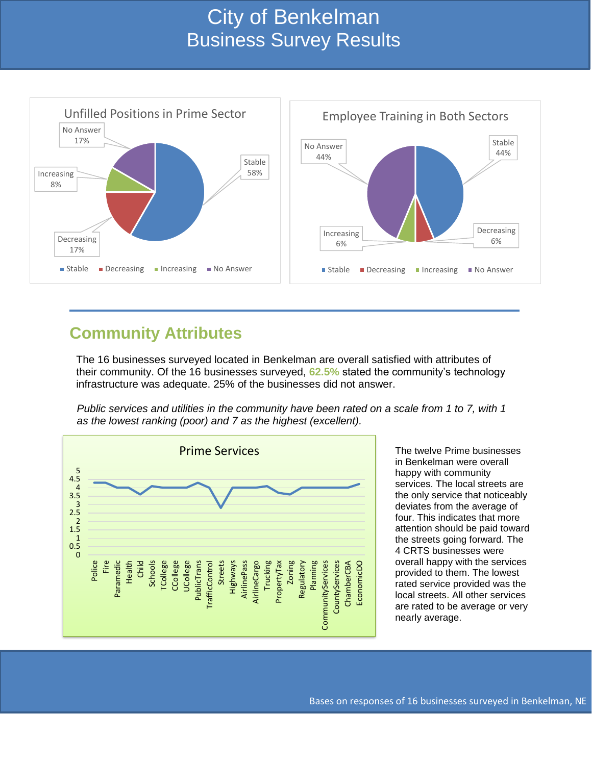# City of Benkelman Business Survey Results

![](_page_2_Figure_1.jpeg)

### **Community Attributes**

The 16 businesses surveyed located in Benkelman are overall satisfied with attributes of their community. Of the 16 businesses surveyed, **62.5%** stated the community's technology infrastructure was adequate. 25% of the businesses did not answer.

*Public services and utilities in the community have been rated on a scale from 1 to 7, with 1 as the lowest ranking (poor) and 7 as the highest (excellent).*

![](_page_2_Figure_5.jpeg)

The twelve Prime businesses in Benkelman were overall happy with community services. The local streets are the only service that noticeably deviates from the average of four. This indicates that more attention should be paid toward the streets going forward. The 4 CRTS businesses were overall happy with the services provided to them. The lowest rated service provided was the local streets**.** All other services are rated to be average or very nearly average.